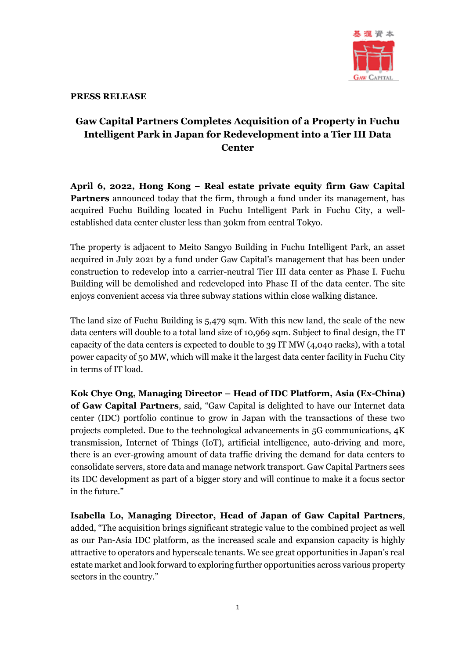

#### **PRESS RELEASE**

# **Gaw Capital Partners Completes Acquisition of a Property in Fuchu Intelligent Park in Japan for Redevelopment into a Tier III Data Center**

**April 6, 2022, Hong Kong** – **Real estate private equity firm Gaw Capital Partners** announced today that the firm, through a fund under its management, has acquired Fuchu Building located in Fuchu Intelligent Park in Fuchu City, a wellestablished data center cluster less than 30km from central Tokyo.

The property is adjacent to Meito Sangyo Building in Fuchu Intelligent Park, an asset acquired in July 2021 by a fund under Gaw Capital's management that has been under construction to redevelop into a carrier-neutral Tier III data center as Phase I. Fuchu Building will be demolished and redeveloped into Phase II of the data center. The site enjoys convenient access via three subway stations within close walking distance.

The land size of Fuchu Building is 5,479 sqm. With this new land, the scale of the new data centers will double to a total land size of 10,969 sqm. Subject to final design, the IT capacity of the data centers is expected to double to 39 IT MW (4,040 racks), with a total power capacity of 50 MW, which will make it the largest data center facility in Fuchu City in terms of IT load.

**Kok Chye Ong, Managing Director – Head of IDC Platform, Asia (Ex-China) of Gaw Capital Partners**, said, "Gaw Capital is delighted to have our Internet data center (IDC) portfolio continue to grow in Japan with the transactions of these two projects completed. Due to the technological advancements in 5G communications, 4K transmission, Internet of Things (IoT), artificial intelligence, auto-driving and more, there is an ever-growing amount of data traffic driving the demand for data centers to consolidate servers, store data and manage network transport. Gaw Capital Partners sees its IDC development as part of a bigger story and will continue to make it a focus sector in the future."

**Isabella Lo, Managing Director, Head of Japan of Gaw Capital Partners**, added, "The acquisition brings significant strategic value to the combined project as well as our Pan-Asia IDC platform, as the increased scale and expansion capacity is highly attractive to operators and hyperscale tenants. We see great opportunities in Japan's real estate market and look forward to exploring further opportunities across various property sectors in the country."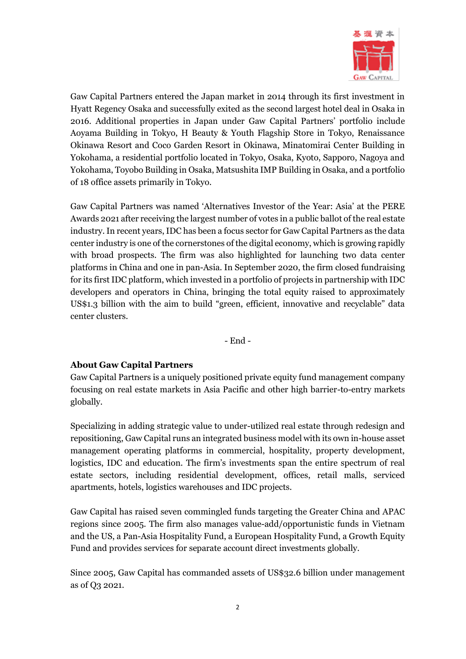

Gaw Capital Partners entered the Japan market in 2014 through its first investment in Hyatt Regency Osaka and successfully exited as the second largest hotel deal in Osaka in 2016. Additional properties in Japan under Gaw Capital Partners' portfolio include Aoyama Building in Tokyo, H Beauty & Youth Flagship Store in Tokyo, Renaissance Okinawa Resort and Coco Garden Resort in Okinawa, Minatomirai Center Building in Yokohama, a residential portfolio located in Tokyo, Osaka, Kyoto, Sapporo, Nagoya and Yokohama, Toyobo Building in Osaka, Matsushita IMP Building in Osaka, and a portfolio of 18 office assets primarily in Tokyo.

Gaw Capital Partners was named 'Alternatives Investor of the Year: Asia' at the PERE Awards 2021 after receiving the largest number of votes in a public ballot of the real estate industry. In recent years, IDC has been a focus sector for Gaw Capital Partners as the data center industry is one of the cornerstones of the digital economy, which is growing rapidly with broad prospects. The firm was also highlighted for launching two data center platforms in China and one in pan-Asia. In September 2020, the firm closed fundraising for its first IDC platform, which invested in a portfolio of projects in partnership with IDC developers and operators in China, bringing the total equity raised to approximately US\$1.3 billion with the aim to build "green, efficient, innovative and recyclable" data center clusters.

- End -

### **About Gaw Capital Partners**

Gaw Capital Partners is a uniquely positioned private equity fund management company focusing on real estate markets in Asia Pacific and other high barrier-to-entry markets globally.

Specializing in adding strategic value to under-utilized real estate through redesign and repositioning, Gaw Capital runs an integrated business model with its own in-house asset management operating platforms in commercial, hospitality, property development, logistics, IDC and education. The firm's investments span the entire spectrum of real estate sectors, including residential development, offices, retail malls, serviced apartments, hotels, logistics warehouses and IDC projects.

Gaw Capital has raised seven commingled funds targeting the Greater China and APAC regions since 2005. The firm also manages value-add/opportunistic funds in Vietnam and the US, a Pan-Asia Hospitality Fund, a European Hospitality Fund, a Growth Equity Fund and provides services for separate account direct investments globally.

Since 2005, Gaw Capital has commanded assets of US\$32.6 billion under management as of Q3 2021.